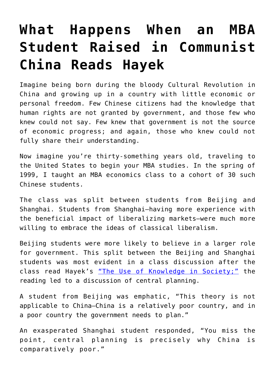## **[What Happens When an MBA](https://intellectualtakeout.org/2018/04/what-happens-when-an-mba-student-raised-in-communist-china-reads-hayek/) [Student Raised in Communist](https://intellectualtakeout.org/2018/04/what-happens-when-an-mba-student-raised-in-communist-china-reads-hayek/) [China Reads Hayek](https://intellectualtakeout.org/2018/04/what-happens-when-an-mba-student-raised-in-communist-china-reads-hayek/)**

Imagine being born during the bloody Cultural Revolution in China and growing up in a country with little economic or personal freedom. Few Chinese citizens had the knowledge that human rights are not granted by government, and those few who knew could not say. Few knew that government is not the source of economic progress; and again, those who knew could not fully share their understanding.

Now imagine you're thirty-something years old, traveling to the United States to begin your MBA studies. In the spring of 1999, I taught an MBA economics class to a cohort of 30 such Chinese students.

The class was split between students from Beijing and Shanghai. Students from Shanghai—having more experience with the beneficial impact of liberalizing markets—were much more willing to embrace the ideas of classical liberalism.

Beijing students were more likely to believe in a larger role for government. This split between the Beijing and Shanghai students was most evident in a class discussion after the class read Hayek's ["The Use of Knowledge in Society;"](https://fee.org/articles/the-use-of-knowledge-in-society/) the reading led to a discussion of central planning.

A student from Beijing was emphatic, "This theory is not applicable to China—China is a relatively poor country, and in a poor country the government needs to plan."

An exasperated Shanghai student responded, "You miss the point, central planning is precisely why China is comparatively poor."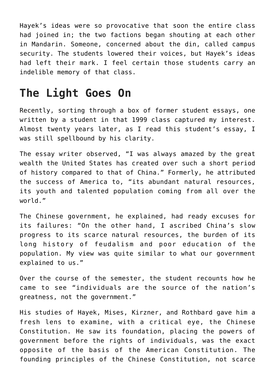Hayek's ideas were so provocative that soon the entire class had joined in; the two factions began shouting at each other in Mandarin. Someone, concerned about the din, called campus security. The students lowered their voices, but Hayek's ideas had left their mark. I feel certain those students carry an indelible memory of that class.

## **The Light Goes On**

Recently, sorting through a box of former student essays, one written by a student in that 1999 class captured my interest. Almost twenty years later, as I read this student's essay, I was still spellbound by his clarity.

The essay writer observed, "I was always amazed by the great wealth the United States has created over such a short period of history compared to that of China." Formerly, he attributed the success of America to, "its abundant natural resources, its youth and talented population coming from all over the world."

The Chinese government, he explained, had ready excuses for its failures: "On the other hand, I ascribed China's slow progress to its scarce natural resources, the burden of its long history of feudalism and poor education of the population. My view was quite similar to what our government explained to us."

Over the course of the semester, the student recounts how he came to see "individuals are the source of the nation's greatness, not the government."

His studies of Hayek, Mises, Kirzner, and Rothbard gave him a fresh lens to examine, with a critical eye, the Chinese Constitution. He saw its foundation, placing the powers of government before the rights of individuals, was the exact opposite of the basis of the American Constitution. The founding principles of the Chinese Constitution, not scarce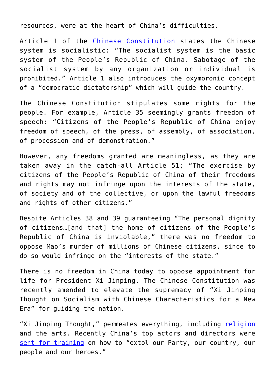resources, were at the heart of China's difficulties.

Article 1 of the [Chinese Constitution](https://en.wikisource.org/wiki/Constitution_of_the_People%27s_Republic_of_China) states the Chinese system is socialistic: "The socialist system is the basic system of the People's Republic of China. Sabotage of the socialist system by any organization or individual is prohibited." Article 1 also introduces the oxymoronic concept of a "democratic dictatorship" which will guide the country.

The Chinese Constitution stipulates some rights for the people. For example, Article 35 seemingly grants freedom of speech: "Citizens of the People's Republic of China enjoy freedom of speech, of the press, of assembly, of association, of procession and of demonstration."

However, any freedoms granted are meaningless, as they are taken away in the catch-all Article 51; "The exercise by citizens of the People's Republic of China of their freedoms and rights may not infringe upon the interests of the state, of society and of the collective, or upon the lawful freedoms and rights of other citizens."

Despite Articles 38 and 39 guaranteeing "The personal dignity of citizens…[and that] the home of citizens of the People's Republic of China is inviolable," there was no freedom to oppose Mao's murder of millions of Chinese citizens, since to do so would infringe on the "interests of the state."

There is no freedom in China today to oppose appointment for life for President Xi Jinping. The Chinese Constitution was recently amended to elevate the supremacy of "Xi Jinping Thought on Socialism with Chinese Characteristics for a New Era" for guiding the nation.

"Xi Jinping Thought," permeates everything, including [religion](https://www.washingtonpost.com/news/worldviews/wp/2017/11/14/jesus-wont-save-you-president-xi-jinping-will-chinese-christians-told/?utm_term=.16a77807a5d0) and the arts. Recently China's top actors and directors were [sent for training](https://www.washingtonpost.com/news/worldviews/wp/2017/12/01/china-sends-its-top-actors-and-directors-sent-back-to-socialism-school/?utm_term=.82a3094d13c9) on how to "extol our Party, our country, our people and our heroes."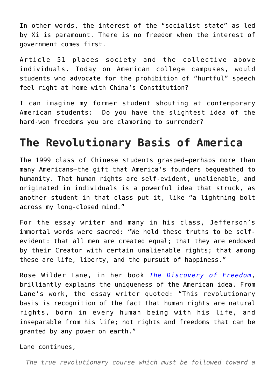In other words, the interest of the "socialist state" as led by Xi is paramount. There is no freedom when the interest of government comes first.

Article 51 places society and the collective above individuals. Today on American college campuses, would students who advocate for the prohibition of "hurtful" speech feel right at home with China's Constitution?

I can imagine my former student shouting at contemporary American students: Do you have the slightest idea of the hard-won freedoms you are clamoring to surrender?

## **The Revolutionary Basis of America**

The 1999 class of Chinese students grasped—perhaps more than many Americans—the gift that America's founders bequeathed to humanity. That human rights are self-evident, unalienable, and originated in individuals is a powerful idea that struck, as another student in that class put it, like "a lightning bolt across my long-closed mind."

For the essay writer and many in his class, Jefferson's immortal words were sacred: "We hold these truths to be selfevident: that all men are created equal; that they are endowed by their Creator with certain unalienable rights; that among these are life, liberty, and the pursuit of happiness."

Rose Wilder Lane, in her book *[The Discovery of Freedom](https://mises.org/library/discovery-freedom)*, brilliantly explains the uniqueness of the American idea. From Lane's work, the essay writer quoted: "This revolutionary basis is recognition of the fact that human rights are natural rights, born in every human being with his life, and inseparable from his life; not rights and freedoms that can be granted by any power on earth."

Lane continues,

*The true revolutionary course which must be followed toward a*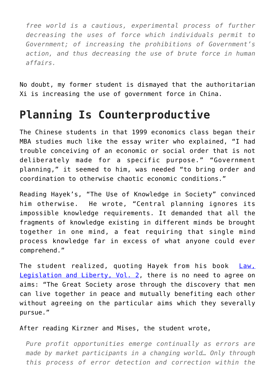*free world is a cautious, experimental process of further decreasing the uses of force which individuals permit to Government; of increasing the prohibitions of Government's action, and thus decreasing the use of brute force in human affairs.*

No doubt, my former student is dismayed that the authoritarian Xi is increasing the use of government force in China.

## **Planning Is Counterproductive**

The Chinese students in that 1999 economics class began their MBA studies much like the essay writer who explained, "I had trouble conceiving of an economic or social order that is not deliberately made for a specific purpose." "Government planning," it seemed to him, was needed "to bring order and coordination to otherwise chaotic economic conditions."

Reading Hayek's, "The Use of Knowledge in Society" convinced him otherwise. He wrote, "Central planning ignores its impossible knowledge requirements. It demanded that all the fragments of knowledge existing in different minds be brought together in one mind, a feat requiring that single mind process knowledge far in excess of what anyone could ever comprehend."

The student realized, quoting Hayek from his book [Law,](https://www.amazon.com/Law-Legislation-Liberty-Mirage-Justice/dp/0226320839) [Legislation and Liberty, Vol. 2](https://www.amazon.com/Law-Legislation-Liberty-Mirage-Justice/dp/0226320839), there is no need to agree on aims: "The Great Society arose through the discovery that men can live together in peace and mutually benefiting each other without agreeing on the particular aims which they severally pursue."

After reading Kirzner and Mises, the student wrote,

*Pure profit opportunities emerge continually as errors are made by market participants in a changing world… Only through this process of error detection and correction within the*